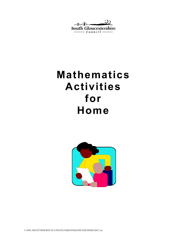$\triangle$ South Gloucestershire - Council -

# **Mathematics Activities for Home**

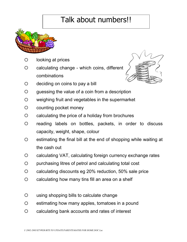## Talk about numbers!!



- { looking at prices
- { calculating change which coins, different combinations



- $\circ$  deciding on coins to pay a bill
- $\circ$  guessing the value of a coin from a description
- { weighing fruit and vegetables in the supermarket
- { counting pocket money
- ${\circ}$  calculating the price of a holiday from brochures
- { reading labels on bottles, packets, in order to discuss capacity, weight, shape, colour
- $\circ$  estimating the final bill at the end of shopping while waiting at the cash out
- { calculating VAT, calculating foreign currency exchange rates
- { purchasing litres of petrol and calculating total cost
- { calculating discounts eg 20% reduction, 50% sale price
- $\circ$  calculating how many tins fill an area on a shelf
- { using shopping bills to calculate change
- { estimating how many apples, tomatoes in a pound
- { calculating bank accounts and rates of interest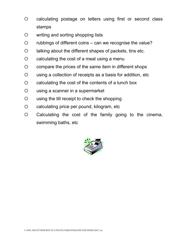- { calculating postage on letters using first or second class stamps
- { writing and sorting shopping lists
- $\circ$  rubbings of different coins can we recognise the value?
- { talking about the different shapes of packets, tins etc.
- ${\circ}$  calculating the cost of a meal using a menu
- { compare the prices of the same item in different shops
- { using a collection of receipts as a basis for addition, etc
- $\circ$  calculating the cost of the contents of a lunch box
- { using a scanner in a supermarket
- ${\circ}$  using the till receipt to check the shopping
- { calculating price per pound, kilogram, etc
- $\circ$  Calculating the cost of the family going to the cinema, swimming baths, etc

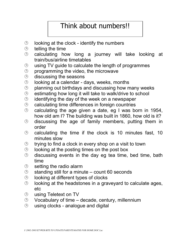#### Think about numbers!!

- $\Theta$  looking at the clock identify the numbers
- $\circled{e}$  telling the time
- calculating how long a journey will take looking at train/bus/airline timetables
- $\Theta$  using TV guide to calculate the length of programmes
- $\oplus$  programming the video, the microwave
- $\oplus$  discussing the seasons
- $\oplus$  looking at a calendar days, weeks, months
- $\oplus$  planning out birthdays and discussing how many weeks
- $\oplus$  estimating how long it will take to walk/drive to school
- $\Theta$  identifying the day of the week on a newspaper
- $\odot$  calculating time differences in foreign countries
- calculating the age given a date, eg I was born in 1954, how old am I? The building was built in 1860, how old is it?
- $\oplus$  discussing the age of family members, putting them in order
- $\odot$  calculating the time if the clock is 10 minutes fast, 10 minutes slow
- $\Theta$  trying to find a clock in every shop on a visit to town
- $\Theta$  looking at the posting times on the post box
- $\oplus$  discussing events in the day eg tea time, bed time, bath time
- $\circled{e}$  setting the radio alarm
- $\circled{e}$  standing still for a minute count 60 seconds
- $\Theta$  looking at different types of clocks
- $\Theta$  looking at the headstones in a graveyard to calculate ages, etc
- using Teletext on TV
- $\circled{D}$  Vocabulary of time decade, century, millennium
- $\oplus$  using clocks analogue and digital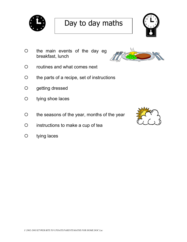

#### Day to day maths



{ the main events of the day eg breakfast, lunch



- { routines and what comes next
- ${\circ}$  the parts of a recipe, set of instructions
- O getting dressed
- { tying shoe laces
- { the seasons of the year, months of the year
- { instructions to make a cup of tea
- { tying laces

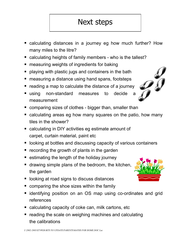## Next steps

- calculating distances in a journey eg how much further? How many miles to the litre?
- calculating heights of family members who is the tallest?
- **n** measuring weights of ingredients for baking
- **playing with plastic jugs and containers in the bath**
- measuring a distance using hand spans, footsteps
- **•** reading a map to calculate the distance of a journey
- using non-standard measures to decide a measurement
- **E** comparing sizes of clothes bigger than, smaller than
- calculating areas eg how many squares on the patio, how many tiles in the shower?
- calculating in DIY activities eg estimate amount of carpet, curtain material, paint etc
- **-** looking at bottles and discussing capacity of various containers
- $\blacksquare$  recording the growth of plants in the garden
- $\blacksquare$  estimating the length of the holiday journey
- $\blacksquare$  drawing simple plans of the bedroom, the kitchen, the garden
- **Delay in the looking at road signs to discuss distances**
- **Comparing the shoe sizes within the family**
- $\blacksquare$  identifying position on an OS map using co-ordinates and grid references
- calculating capacity of coke can, milk cartons, etc
- reading the scale on weighing machines and calculating the calibrations



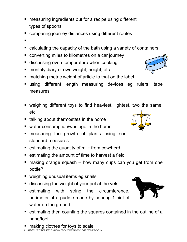- measuring ingredients out for a recipe using different types of spoons
- comparing journey distances using different routes
- $\mathbf{u}$
- calculating the capacity of the bath using a variety of containers
- converting miles to kilometres on a car journey
- discussing oven temperature when cooking
- monthly diary of own weight, height, etc
- matching metric weight of article to that on the label
- using different length measuring devices eg rulers, tape measures
- weighing different toys to find heaviest, lightest, two the same, etc
- $\blacksquare$  talking about thermostats in the home
- water consumption/wastage in the home
- **n** measuring the growth of plants using nonstandard measures
- **EXEDENT ENDEROTATION IN EXERCIT** estimating the quantity of milk from cow/herd
- estimating the amount of time to harvest a field
- $\blacksquare$  making orange squash how many cups can you get from one bottle?
- weighing unusual items eg snails
- discussing the weight of your pet at the vets
- **Example 1** estimating with string the circumference, perimeter of a puddle made by pouring 1 pint of water on the ground
- estimating then counting the squares contained in the outline of a hand/foot

*I:\2002-2003\ET\WEB BITS TO UPDATE\PARENTS\MATHS FOR HOME.DOC Lac* making clothes for toys to scale



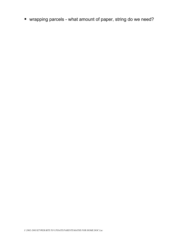wrapping parcels - what amount of paper, string do we need?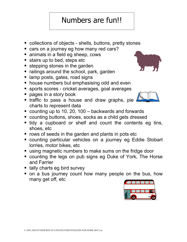### Numbers are fun!!

- collections of objects shells, buttons, pretty stones
- **E** cars on a journey eg how many red cars?
- animals in a field eg sheep, cows
- stairs up to bed, steps etc
- **stepping stones in the garden**
- $\blacksquare$  railings around the school, park, garden
- **If** lamp posts, gates, road signs
- **house numbers but emphasising odd and even**
- sports scores cricket averages, goal averages
- **pages in a story book**
- **traffic to pass a house and draw graphs, pie** charts to represent data
- counting up to 10, 20, 100 backwards and forwards
- counting buttons, shoes, socks as a child gets dressed
- If tidy a cupboard or shelf and count the contents eg tins, shoes, etc
- rows of seeds in the garden and plants in pots etc
- counting particular vehicles on a journey eg Eddie Stobart lorries, motor bikes, etc
- using magnetic numbers to make sums on the fridge door
- counting the legs on pub signs eg Duke of York, The Horse and Farrier
- $\blacksquare$  tally charts eg bird survey
- on a bus journey count how many people on the bus, how many get off, etc



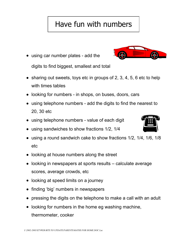## Have fun with numbers

- using car number plates add the digits to find biggest, smallest and total
- sharing out sweets, toys etc in groups of 2, 3, 4, 5, 6 etc to help with times tables
- looking for numbers in shops, on buses, doors, cars
- using telephone numbers add the digits to find the nearest to 20, 30 etc
- using telephone numbers value of each digit
- using sandwiches to show fractions 1/2, 1/4
- using a round sandwich cake to show fractions 1/2, 1/4, 1/6, 1/8 etc
- looking at house numbers along the street
- looking in newspapers at sports results calculate average scores, average crowds, etc
- looking at speed limits on a journey
- finding 'big' numbers in newspapers

*I:\2002-2003\ET\WEB BITS TO UPDATE\PARENTS\MATHS FOR HOME.DOC Lac*

- pressing the digits on the telephone to make a call with an adult
- looking for numbers in the home eg washing machine, thermometer, cooker





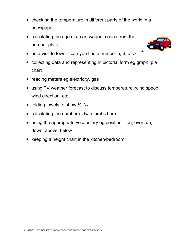- checking the temperature in different parts of the world in a newspaper
- calculating the age of a car, wagon, coach from the number plate



•

- on a visit to town can you find a number 5, 6, etc?
- collecting data and representing in pictorial form eg graph, pie chart
- reading meters eg electricity, gas
- using TV weather forecast to discuss temperature, wind speed, wind direction, etc
- folding towels to show  $\frac{1}{2}$ ,  $\frac{1}{4}$
- calculating the number of twin lambs born
- using the appropriate vocabulary eg position on, over, up, down, above, below
- keeping a height chart in the kitchen/bedroom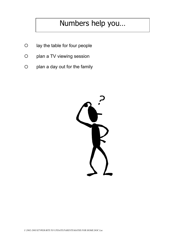## Numbers help you…

- { lay the table for four people
- { plan a TV viewing session
- { plan a day out for the family

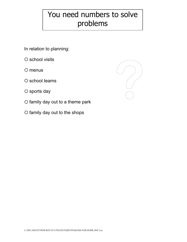# You need numbers to solve problems

- In relation to planning:
- O school visits
- { menus
- $\circ$  school teams
- $O$  sports day
- { family day out to a theme park
- { family day out to the shops

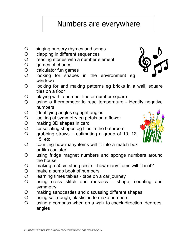#### Numbers are everywhere

- { singing nursery rhymes and songs
- { clapping in different sequences
- { reading stories with a number element
- { games of chance
- { calculator fun games
- { looking for shapes in the environment eg windows
- { looking for and making patterns eg bricks in a wall, square tiles on a floor
- { playing with a number line or number square
- $\circ$  using a thermometer to read temperature identify negative numbers
- { identifying angles eg right angles
- { looking at symmetry eg petals on a flower
- { making 3D shapes in card
- { tessellating shapes eg tiles in the bathroom
- $O$  grabbing straws estimating a group of 10, 12, 15, etc
- $\circ$  counting how many items will fit into a match box or film canister
- { using fridge magnet numbers and sponge numbers around the house
- ${\rm O}$  making a 50cm string circle how many items will fit in it?
- { make a scrap book of numbers
- { learning times tables tape on a car journey
- { using cross stitch and mosaics shape, counting and symmetry
- { making sandcastles and discussing different shapes
- { using salt dough, plasticine to make numbers
- { using a compass when on a walk to check direction, degrees, angles





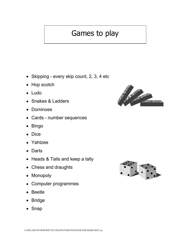#### Games to play

- Skipping every skip count, 2, 3, 4 etc
- Hop scotch
- Ludo
- Snakes & Ladders
- Dominoes
- Cards number sequences
- Bingo
- Dice
- Yahtzee
- Darts
- Heads & Tails and keep a tally
- Chess and draughts
- Monopoly
- Computer programmes
- Beetle
- Bridge
- Snap



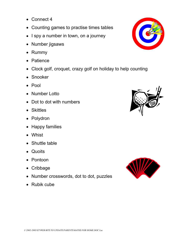- Connect 4
- Counting games to practise times tables
- I spy a number in town, on a journey
- Number jigsaws
- Rummy
- Patience
- Clock golf, croquet, crazy golf on holiday to help counting
- Snooker
- Pool
- Number Lotto
- Dot to dot with numbers
- Skittles
- Polydron
- Happy families
- Whist
- **Shuttle table**
- Quoits
- Pontoon
- Cribbage
- Number crosswords, dot to dot, puzzles
- Rubik cube